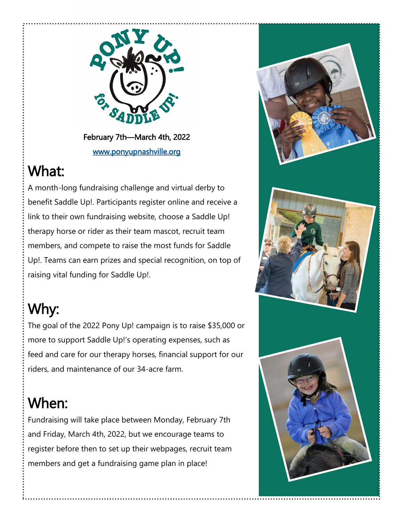

February 7th—March 4th, 2022 [www.ponyupnashville.org](https://www.ponyupnashville.org/) 

## What:

A month-long fundraising challenge and virtual derby to benefit Saddle Up!. Participants register online and receive a link to their own fundraising website, choose a Saddle Up! therapy horse or rider as their team mascot, recruit team members, and compete to raise the most funds for Saddle Up!. Teams can earn prizes and special recognition, on top of raising vital funding for Saddle Up!.

# Why:

The goal of the 2022 Pony Up! campaign is to raise \$35,000 or more to support Saddle Up!'s operating expenses, such as feed and care for our therapy horses, financial support for our riders, and maintenance of our 34-acre farm.

## When:

Fundraising will take place between Monday, February 7th and Friday, March 4th, 2022, but we encourage teams to register before then to set up their webpages, recruit team members and get a fundraising game plan in place!